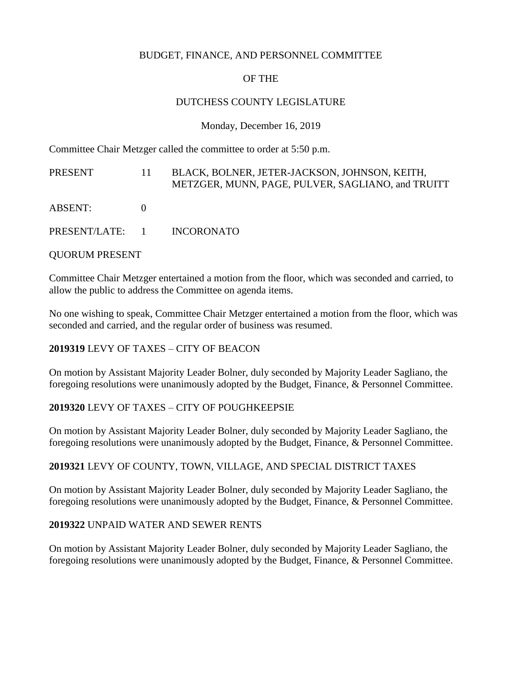#### BUDGET, FINANCE, AND PERSONNEL COMMITTEE

# OF THE

#### DUTCHESS COUNTY LEGISLATURE

Monday, December 16, 2019

Committee Chair Metzger called the committee to order at 5:50 p.m.

| PRESENT                    | 11. | BLACK, BOLNER, JETER-JACKSON, JOHNSON, KEITH,<br>METZGER, MUNN, PAGE, PULVER, SAGLIANO, and TRUITT |
|----------------------------|-----|----------------------------------------------------------------------------------------------------|
| ABSENT:                    |     |                                                                                                    |
| PRESENT/LATE: 1 INCORONATO |     |                                                                                                    |

QUORUM PRESENT

Committee Chair Metzger entertained a motion from the floor, which was seconded and carried, to allow the public to address the Committee on agenda items.

No one wishing to speak, Committee Chair Metzger entertained a motion from the floor, which was seconded and carried, and the regular order of business was resumed.

# **2019319** LEVY OF TAXES – CITY OF BEACON

On motion by Assistant Majority Leader Bolner, duly seconded by Majority Leader Sagliano, the foregoing resolutions were unanimously adopted by the Budget, Finance, & Personnel Committee.

# **2019320** LEVY OF TAXES – CITY OF POUGHKEEPSIE

On motion by Assistant Majority Leader Bolner, duly seconded by Majority Leader Sagliano, the foregoing resolutions were unanimously adopted by the Budget, Finance, & Personnel Committee.

# **2019321** LEVY OF COUNTY, TOWN, VILLAGE, AND SPECIAL DISTRICT TAXES

On motion by Assistant Majority Leader Bolner, duly seconded by Majority Leader Sagliano, the foregoing resolutions were unanimously adopted by the Budget, Finance, & Personnel Committee.

# **2019322** UNPAID WATER AND SEWER RENTS

On motion by Assistant Majority Leader Bolner, duly seconded by Majority Leader Sagliano, the foregoing resolutions were unanimously adopted by the Budget, Finance, & Personnel Committee.